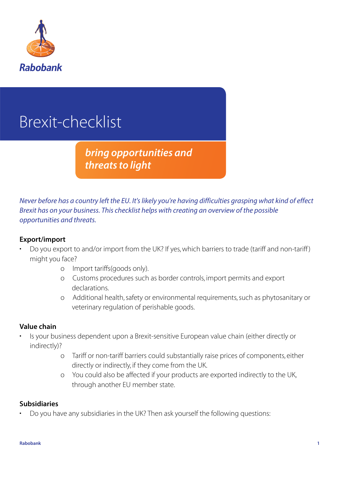

# Brexit-checklist

# *bring opportunities and threats to light*

Never before has a country left the EU. It's likely you're having difficulties grasping what kind of effect Brexit has on your business. This checklist helps with creating an overview of the possible opportunities and threats.

#### **Export/import**

- Do you export to and/or import from the UK? If yes, which barriers to trade (tariff and non-tariff ) might you face?
	- o Import tariffs(goods only).
	- o Customs procedures such as border controls, import permits and export declarations.
	- o Additional health, safety or environmental requirements, such as phytosanitary or veterinary regulation of perishable goods.

#### **Value chain**

- Is your business dependent upon a Brexit-sensitive European value chain (either directly or indirectly)?
	- o Tariff or non-tariff barriers could substantially raise prices of components, either directly or indirectly, if they come from the UK.
	- o You could also be affected if your products are exported indirectly to the UK, through another EU member state.

#### **Subsidiaries**

• Do you have any subsidiaries in the UK? Then ask yourself the following questions: